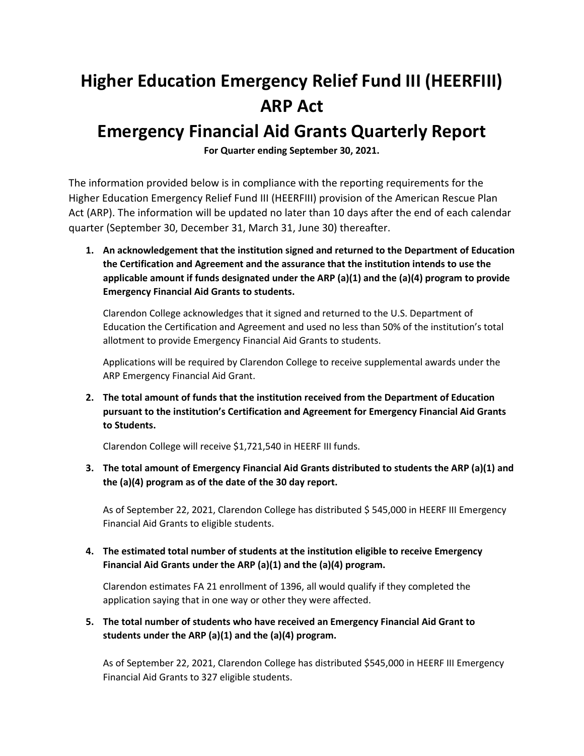# **Higher Education Emergency Relief Fund III (HEERFIII) ARP Act**

# **Emergency Financial Aid Grants Quarterly Report**

**For Quarter ending September 30, 2021.**

The information provided below is in compliance with the reporting requirements for the Higher Education Emergency Relief Fund III (HEERFIII) provision of the American Rescue Plan Act (ARP). The information will be updated no later than 10 days after the end of each calendar quarter (September 30, December 31, March 31, June 30) thereafter.

**1. An acknowledgement that the institution signed and returned to the Department of Education the Certification and Agreement and the assurance that the institution intends to use the applicable amount if funds designated under the ARP (a)(1) and the (a)(4) program to provide Emergency Financial Aid Grants to students.**

Clarendon College acknowledges that it signed and returned to the U.S. Department of Education the Certification and Agreement and used no less than 50% of the institution's total allotment to provide Emergency Financial Aid Grants to students.

Applications will be required by Clarendon College to receive supplemental awards under the ARP Emergency Financial Aid Grant.

**2. The total amount of funds that the institution received from the Department of Education pursuant to the institution's Certification and Agreement for Emergency Financial Aid Grants to Students.** 

Clarendon College will receive \$1,721,540 in HEERF III funds.

**3. The total amount of Emergency Financial Aid Grants distributed to students the ARP (a)(1) and the (a)(4) program as of the date of the 30 day report.**

As of September 22, 2021, Clarendon College has distributed \$ 545,000 in HEERF III Emergency Financial Aid Grants to eligible students.

**4. The estimated total number of students at the institution eligible to receive Emergency Financial Aid Grants under the ARP (a)(1) and the (a)(4) program.**

Clarendon estimates FA 21 enrollment of 1396, all would qualify if they completed the application saying that in one way or other they were affected.

**5. The total number of students who have received an Emergency Financial Aid Grant to students under the ARP (a)(1) and the (a)(4) program.**

As of September 22, 2021, Clarendon College has distributed \$545,000 in HEERF III Emergency Financial Aid Grants to 327 eligible students.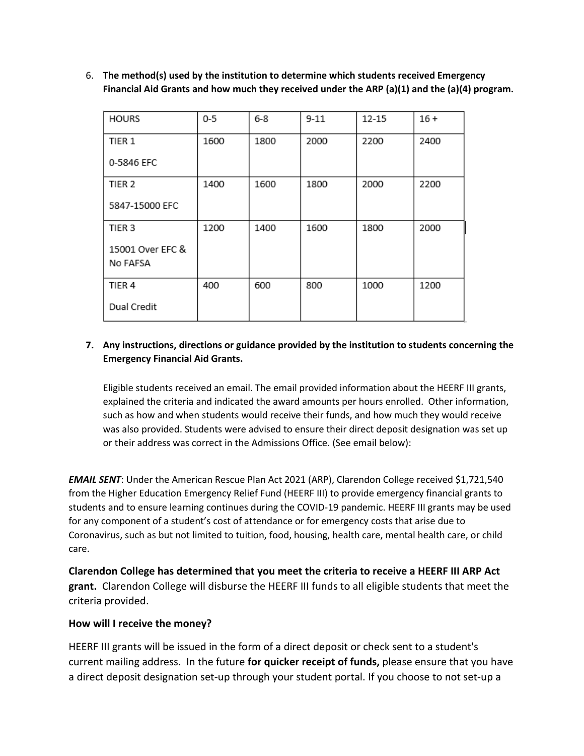6. **The method(s) used by the institution to determine which students received Emergency Financial Aid Grants and how much they received under the ARP (a)(1) and the (a)(4) program.**

| <b>HOURS</b>      | $0-5$ | 6-8  | $9 - 11$ | 12-15 | $16+$ |
|-------------------|-------|------|----------|-------|-------|
| TIER <sub>1</sub> | 1600  | 1800 | 2000     | 2200  | 2400  |
| 0-5846 EFC        |       |      |          |       |       |
| TIER <sub>2</sub> | 1400  | 1600 | 1800     | 2000  | 2200  |
| 5847-15000 EFC    |       |      |          |       |       |
| TIER 3            | 1200  | 1400 | 1600     | 1800  | 2000  |
| 15001 Over EFC &  |       |      |          |       |       |
| No FAFSA          |       |      |          |       |       |
| TIER 4            | 400   | 600  | 800      | 1000  | 1200  |
| Dual Credit       |       |      |          |       |       |

#### **7. Any instructions, directions or guidance provided by the institution to students concerning the Emergency Financial Aid Grants.**

Eligible students received an email. The email provided information about the HEERF III grants, explained the criteria and indicated the award amounts per hours enrolled. Other information, such as how and when students would receive their funds, and how much they would receive was also provided. Students were advised to ensure their direct deposit designation was set up or their address was correct in the Admissions Office. (See email below):

**EMAIL SENT**: Under the American Rescue Plan Act 2021 (ARP), Clarendon College received \$1,721,540 from the Higher Education Emergency Relief Fund (HEERF III) to provide emergency financial grants to students and to ensure learning continues during the COVID-19 pandemic. HEERF III grants may be used for any component of a student's cost of attendance or for emergency costs that arise due to Coronavirus, such as but not limited to tuition, food, housing, health care, mental health care, or child care.

**Clarendon College has determined that you meet the criteria to receive a HEERF III ARP Act grant.** Clarendon College will disburse the HEERF III funds to all eligible students that meet the criteria provided.

#### **How will I receive the money?**

HEERF III grants will be issued in the form of a direct deposit or check sent to a student's current mailing address. In the future **for quicker receipt of funds,** please ensure that you have a direct deposit designation set-up through your student portal. If you choose to not set-up a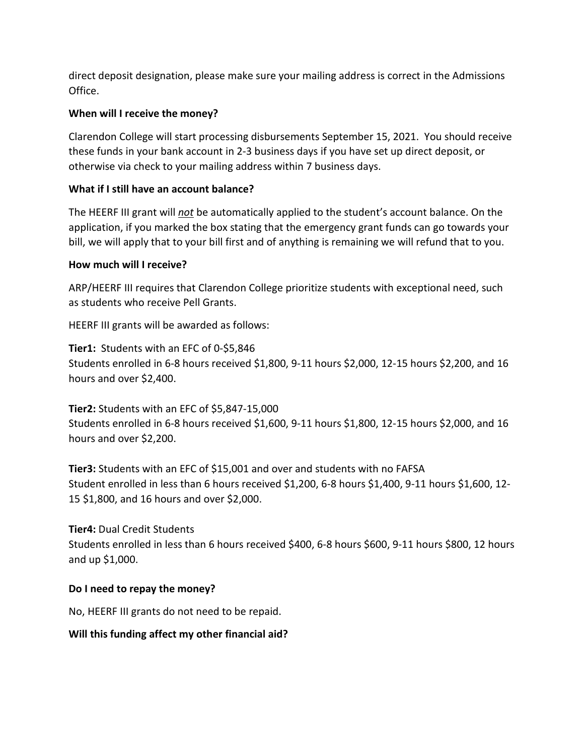direct deposit designation, please make sure your mailing address is correct in the Admissions Office.

#### **When will I receive the money?**

Clarendon College will start processing disbursements September 15, 2021. You should receive these funds in your bank account in 2-3 business days if you have set up direct deposit, or otherwise via check to your mailing address within 7 business days.

#### **What if I still have an account balance?**

The HEERF III grant will *not* be automatically applied to the student's account balance. On the application, if you marked the box stating that the emergency grant funds can go towards your bill, we will apply that to your bill first and of anything is remaining we will refund that to you.

#### **How much will I receive?**

ARP/HEERF III requires that Clarendon College prioritize students with exceptional need, such as students who receive Pell Grants.

HEERF III grants will be awarded as follows:

**Tier1:** Students with an EFC of 0-\$5,846 Students enrolled in 6-8 hours received \$1,800, 9-11 hours \$2,000, 12-15 hours \$2,200, and 16 hours and over \$2,400.

**Tier2:** Students with an EFC of \$5,847-15,000 Students enrolled in 6-8 hours received \$1,600, 9-11 hours \$1,800, 12-15 hours \$2,000, and 16 hours and over \$2,200.

**Tier3:** Students with an EFC of \$15,001 and over and students with no FAFSA Student enrolled in less than 6 hours received \$1,200, 6-8 hours \$1,400, 9-11 hours \$1,600, 12- 15 \$1,800, and 16 hours and over \$2,000.

#### **Tier4:** Dual Credit Students

Students enrolled in less than 6 hours received \$400, 6-8 hours \$600, 9-11 hours \$800, 12 hours and up \$1,000.

## **Do I need to repay the money?**

No, HEERF III grants do not need to be repaid.

## **Will this funding affect my other financial aid?**